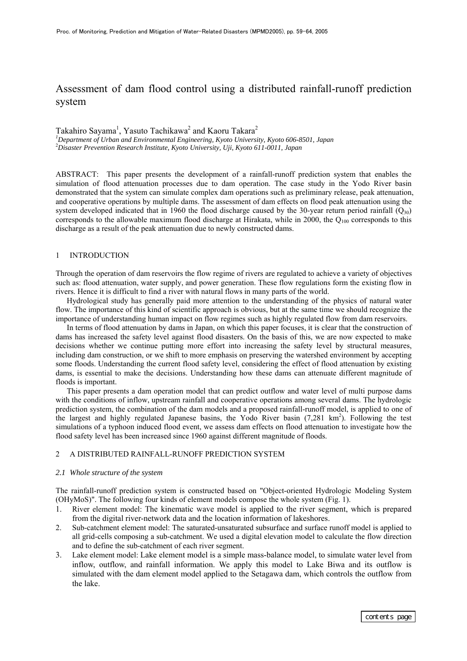# Assessment of dam flood control using a distributed rainfall-runoff prediction system

Takahiro Sayama<sup>1</sup>, Yasuto Tachikawa<sup>2</sup> and Kaoru Takara<sup>2</sup> *1 Department of Urban and Environmental Engineering, Kyoto University, Kyoto 606-8501, Japan* 2 *Disaster Prevention Research Institute, Kyoto University, Uji, Kyoto 611-0011, Japan*

ABSTRACT: This paper presents the development of a rainfall-runoff prediction system that enables the simulation of flood attenuation processes due to dam operation. The case study in the Yodo River basin demonstrated that the system can simulate complex dam operations such as preliminary release, peak attenuation, and cooperative operations by multiple dams. The assessment of dam effects on flood peak attenuation using the system developed indicated that in 1960 the flood discharge caused by the 30-year return period rainfall  $(Q_{30})$ corresponds to the allowable maximum flood discharge at Hirakata, while in 2000, the  $Q_{100}$  corresponds to this discharge as a result of the peak attenuation due to newly constructed dams.

# 1 INTRODUCTION

Through the operation of dam reservoirs the flow regime of rivers are regulated to achieve a variety of objectives such as: flood attenuation, water supply, and power generation. These flow regulations form the existing flow in rivers. Hence it is difficult to find a river with natural flows in many parts of the world.

Hydrological study has generally paid more attention to the understanding of the physics of natural water flow. The importance of this kind of scientific approach is obvious, but at the same time we should recognize the importance of understanding human impact on flow regimes such as highly regulated flow from dam reservoirs.

In terms of flood attenuation by dams in Japan, on which this paper focuses, it is clear that the construction of dams has increased the safety level against flood disasters. On the basis of this, we are now expected to make decisions whether we continue putting more effort into increasing the safety level by structural measures, including dam construction, or we shift to more emphasis on preserving the watershed environment by accepting some floods. Understanding the current flood safety level, considering the effect of flood attenuation by existing dams, is essential to make the decisions. Understanding how these dams can attenuate different magnitude of floods is important.

This paper presents a dam operation model that can predict outflow and water level of multi purpose dams with the conditions of inflow, upstream rainfall and cooperative operations among several dams. The hydrologic prediction system, the combination of the dam models and a proposed rainfall-runoff model, is applied to one of the largest and highly regulated Japanese basins, the Yodo River basin (7,281 km<sup>2</sup>). Following the test simulations of a typhoon induced flood event, we assess dam effects on flood attenuation to investigate how the flood safety level has been increased since 1960 against different magnitude of floods.

# 2 A DISTRIBUTED RAINFALL-RUNOFF PREDICTION SYSTEM

## *2.1 Whole structure of the system*

The rainfall-runoff prediction system is constructed based on "Object-oriented Hydrologic Modeling System (OHyMoS)". The following four kinds of element models compose the whole system (Fig. 1).

- 1. River element model: The kinematic wave model is applied to the river segment, which is prepared from the digital river-network data and the location information of lakeshores.
- 2. Sub-catchment element model: The saturated-unsaturated subsurface and surface runoff model is applied to all grid-cells composing a sub-catchment. We used a digital elevation model to calculate the flow direction and to define the sub-catchment of each river segment.
- 3. Lake element model: Lake element model is a simple mass-balance model, to simulate water level from inflow, outflow, and rainfall information. We apply this model to Lake Biwa and its outflow is simulated with the dam element model applied to the Setagawa dam, which controls the outflow from the lake.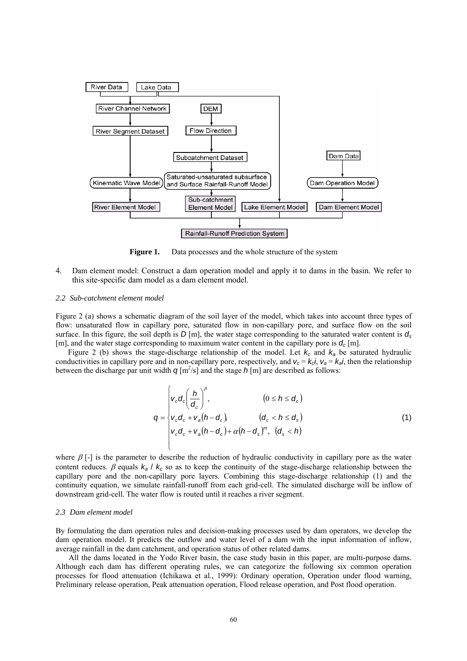

Figure 1. Data processes and the whole structure of the system

4. Dam element model: Construct a dam operation model and apply it to dams in the basin. We refer to this site-specific dam model as a dam element model.

## *2.2 Sub-catchment element model*

Figure 2 (a) shows a schematic diagram of the soil layer of the model, which takes into account three types of flow: unsaturated flow in capillary pore, saturated flow in non-capillary pore, and surface flow on the soil surface. In this figure, the soil depth is  $D[m]$ , the water stage corresponding to the saturated water content is  $d_s$ [m], and the water stage corresponding to maximum water content in the capillary pore is  $d_c$  [m].

Figure 2 (b) shows the stage-discharge relationship of the model. Let  $k_c$  and  $k_a$  be saturated hydraulic conductivities in capillary pore and in non-capillary pore, respectively, and  $v_c = k_c i$ ,  $v_a = k_a i$ , then the relationship between the discharge par unit width  $q[m^2/s]$  and the stage  $h[m]$  are described as follows:

$$
q = \begin{cases} v_c d_c \left(\frac{h}{d_c}\right)^{\beta}, & (0 \le h \le d_c) \\ v_c d_c + v_a (h - d_c), & (d_c < h \le d_s) \\ v_c d_c + v_a (h - d_c) + \alpha (h - d_s)^m, & (d_s < h) \end{cases}
$$
(1)

where  $\beta$  [-] is the parameter to describe the reduction of hydraulic conductivity in capillary pore as the water content reduces.  $\beta$  equals  $k_a / k_c$  so as to keep the continuity of the stage-discharge relationship between the capillary pore and the non-capillary pore layers. Combining this stage-discharge relationship (1) and the continuity equation, we simulate rainfall-runoff from each grid-cell. The simulated discharge will be inflow of downstream grid-cell. The water flow is routed until it reaches a river segment.

## *2.3 Dam element model*

By formulating the dam operation rules and decision-making processes used by dam operators, we develop the dam operation model. It predicts the outflow and water level of a dam with the input information of inflow, average rainfall in the dam catchment, and operation status of other related dams.

All the dams located in the Yodo River basin, the case study basin in this paper, are multi-purpose dams. Although each dam has different operating rules, we can categorize the following six common operation processes for flood attenuation (Ichikawa et al., 1999): Ordinary operation, Operation under flood warning, Preliminary release operation, Peak attenuation operation, Flood release operation, and Post flood operation.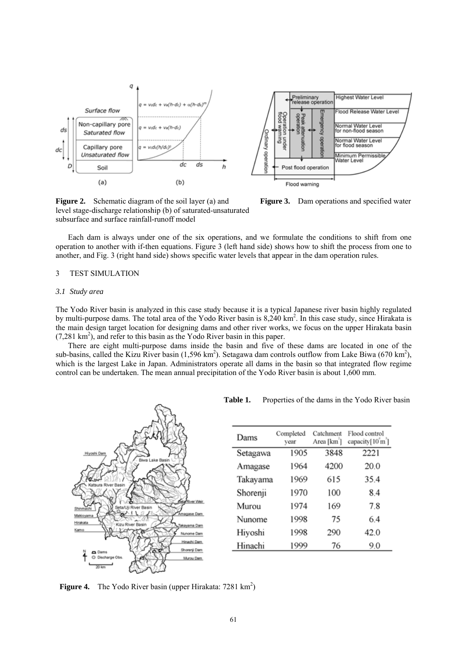



**Figure 2.** Schematic diagram of the soil layer (a) and **Figure 3.** Dam operations and specified water level stage-discharge relationship (b) of saturated-unsaturated subsurface and surface rainfall-runoff model



Each dam is always under one of the six operations, and we formulate the conditions to shift from one operation to another with if-then equations. Figure 3 (left hand side) shows how to shift the process from one to another, and Fig. 3 (right hand side) shows specific water levels that appear in the dam operation rules.

# 3 TEST SIMULATION

#### *3.1 Study area*

The Yodo River basin is analyzed in this case study because it is a typical Japanese river basin highly regulated by multi-purpose dams. The total area of the Yodo River basin is 8,240 km<sup>2</sup>. In this case study, since Hirakata is the main design target location for designing dams and other river works, we focus on the upper Hirakata basin (7,281 km<sup>2</sup>), and refer to this basin as the Yodo River basin in this paper.

There are eight multi-purpose dams inside the basin and five of these dams are located in one of the sub-basins, called the Kizu River basin  $(1,596 \text{ km}^2)$ . Setagawa dam controls outflow from Lake Biwa  $(670 \text{ km}^2)$ , which is the largest Lake in Japan. Administrators operate all dams in the basin so that integrated flow regime control can be undertaken. The mean annual precipitation of the Yodo River basin is about 1,600 mm.



Table 1. Properties of the dams in the Yodo River basin

| Dams     | Completed<br>vear | Catchment<br>Area [km <sup>2</sup> ] | Flood control<br>capacity[10 m] |
|----------|-------------------|--------------------------------------|---------------------------------|
| Setagawa | 1905              | 3848                                 | 2221                            |
| Amagase  | 1964              | 4200                                 | 20.0                            |
| Takayama | 1969              | 615                                  | 35.4                            |
| Shorenji | 1970              | 100                                  | 8.4                             |
| Murou    | 1974              | 169                                  | 7.8                             |
| Nunome   | 1998              | 75                                   | 6.4                             |
| Hiyoshi  | 1998              | 290                                  | 42.0                            |
| Hinachi  | 1999              | 76                                   | 9.0                             |

**Figure 4.** The Yodo River basin (upper Hirakata:  $7281 \text{ km}^2$ )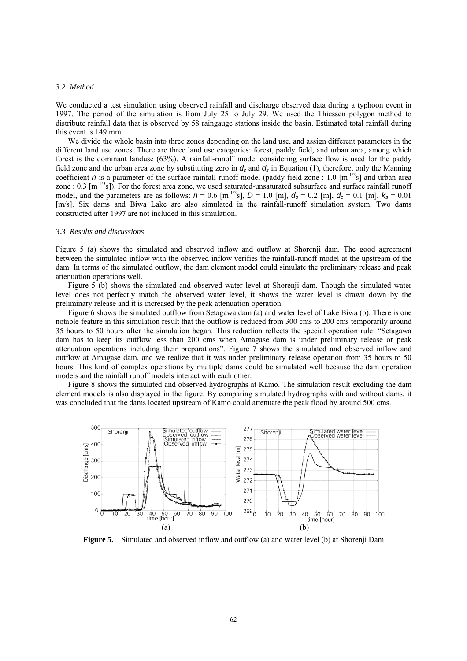## *3.2 Method*

We conducted a test simulation using observed rainfall and discharge observed data during a typhoon event in 1997. The period of the simulation is from July 25 to July 29. We used the Thiessen polygon method to distribute rainfall data that is observed by 58 raingauge stations inside the basin. Estimated total rainfall during this event is 149 mm.

We divide the whole basin into three zones depending on the land use, and assign different parameters in the different land use zones. There are three land use categories: forest, paddy field, and urban area, among which forest is the dominant landuse (63%). A rainfall-runoff model considering surface flow is used for the paddy field zone and the urban area zone by substituting zero in  $d_c$  and  $d_s$  in Equation (1), therefore, only the Manning coefficient *n* is a parameter of the surface rainfall-runoff model (paddy field zone : 1.0  $[m^{-1/3}s]$  and urban area zone : 0.3 [m-1/3s]). For the forest area zone, we used saturated-unsaturated subsurface and surface rainfall runoff model, and the parameters are as follows:  $n = 0.6$  [m<sup>-1/3</sup>s],  $D = 1.0$  [m],  $d_s = 0.2$  [m],  $d_c = 0.1$  [m],  $k_s = 0.01$ [m/s]. Six dams and Biwa Lake are also simulated in the rainfall-runoff simulation system. Two dams constructed after 1997 are not included in this simulation.

## *3.3 Results and discussions*

Figure 5 (a) shows the simulated and observed inflow and outflow at Shorenji dam. The good agreement between the simulated inflow with the observed inflow verifies the rainfall-runoff model at the upstream of the dam. In terms of the simulated outflow, the dam element model could simulate the preliminary release and peak attenuation operations well.

Figure 5 (b) shows the simulated and observed water level at Shorenji dam. Though the simulated water level does not perfectly match the observed water level, it shows the water level is drawn down by the preliminary release and it is increased by the peak attenuation operation.

Figure 6 shows the simulated outflow from Setagawa dam (a) and water level of Lake Biwa (b). There is one notable feature in this simulation result that the outflow is reduced from 300 cms to 200 cms temporarily around 35 hours to 50 hours after the simulation began. This reduction reflects the special operation rule: "Setagawa dam has to keep its outflow less than 200 cms when Amagase dam is under preliminary release or peak attenuation operations including their preparations". Figure 7 shows the simulated and observed inflow and outflow at Amagase dam, and we realize that it was under preliminary release operation from 35 hours to 50 hours. This kind of complex operations by multiple dams could be simulated well because the dam operation models and the rainfall runoff models interact with each other.

Figure 8 shows the simulated and observed hydrographs at Kamo. The simulation result excluding the dam element models is also displayed in the figure. By comparing simulated hydrographs with and without dams, it was concluded that the dams located upstream of Kamo could attenuate the peak flood by around 500 cms.



**Figure 5.** Simulated and observed inflow and outflow (a) and water level (b) at Shorenji Dam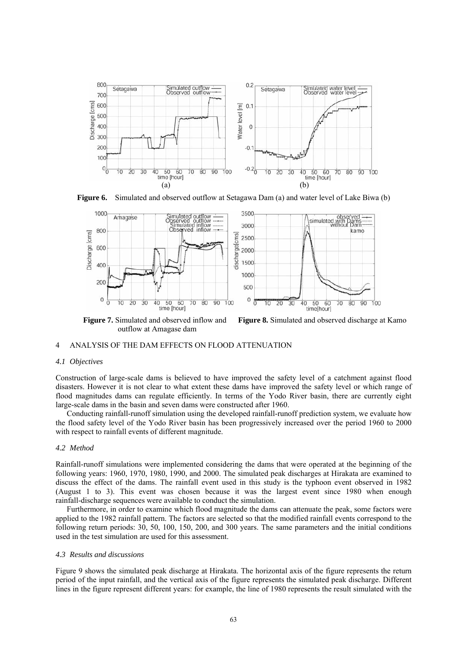

**Figure 6.** Simulated and observed outflow at Setagawa Dam (a) and water level of Lake Biwa (b)



outflow at Amagase dam

**Figure 7.** Simulated and observed inflow and **Figure 8.** Simulated and observed discharge at Kamo

## 4 ANALYSIS OF THE DAM EFFECTS ON FLOOD ATTENUATION

## *4.1 Objectives*

Construction of large-scale dams is believed to have improved the safety level of a catchment against flood disasters. However it is not clear to what extent these dams have improved the safety level or which range of flood magnitudes dams can regulate efficiently. In terms of the Yodo River basin, there are currently eight large-scale dams in the basin and seven dams were constructed after 1960.

Conducting rainfall-runoff simulation using the developed rainfall-runoff prediction system, we evaluate how the flood safety level of the Yodo River basin has been progressively increased over the period 1960 to 2000 with respect to rainfall events of different magnitude.

## *4.2 Method*

Rainfall-runoff simulations were implemented considering the dams that were operated at the beginning of the following years: 1960, 1970, 1980, 1990, and 2000. The simulated peak discharges at Hirakata are examined to discuss the effect of the dams. The rainfall event used in this study is the typhoon event observed in 1982 (August 1 to 3). This event was chosen because it was the largest event since 1980 when enough rainfall-discharge sequences were available to conduct the simulation.

Furthermore, in order to examine which flood magnitude the dams can attenuate the peak, some factors were applied to the 1982 rainfall pattern. The factors are selected so that the modified rainfall events correspond to the following return periods: 30, 50, 100, 150, 200, and 300 years. The same parameters and the initial conditions used in the test simulation are used for this assessment.

# *4.3 Results and discussions*

Figure 9 shows the simulated peak discharge at Hirakata. The horizontal axis of the figure represents the return period of the input rainfall, and the vertical axis of the figure represents the simulated peak discharge. Different lines in the figure represent different years: for example, the line of 1980 represents the result simulated with the